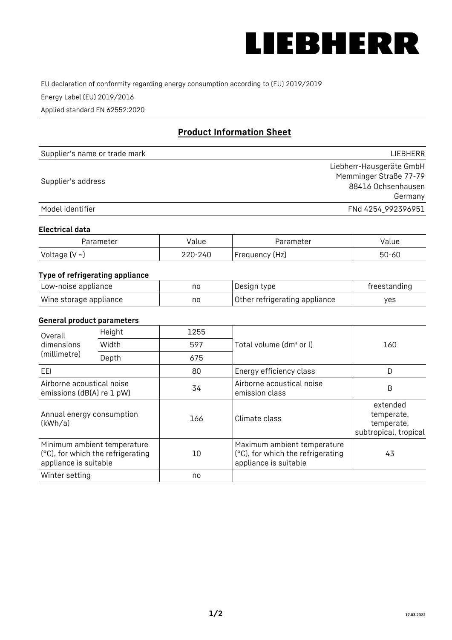

EU declaration of conformity regarding energy consumption according to (EU) 2019/2019

Energy Label (EU) 2019/2016

Applied standard EN 62552:2020

# **Product Information Sheet**

| Supplier's name or trade mark | <b>LIFBHFRR</b>          |
|-------------------------------|--------------------------|
|                               | Liebherr-Hausgeräte GmbH |
| Supplier's address            | Memminger Straße 77-79   |
|                               | 88416 Ochsenhausen       |
|                               | Germany                  |
| Model identifier              | FNd 4254_992396951       |

### **Electrical data**

| Parameter     | Value         | Parameter      | alue ' |
|---------------|---------------|----------------|--------|
| Voltage (V ~) | 220-:<br>-24C | Frequency (Hz) | 50-60  |

## **Type of refrigerating appliance**

| Low-noise appliance    | nc | Design type                   | freestanding |
|------------------------|----|-------------------------------|--------------|
| Wine storage appliance | nc | Other refrigerating appliance | ves          |

### **General product parameters**

| Height<br>Overall                                      |                                                                  | 1255 |                                                                                           |                                                               |
|--------------------------------------------------------|------------------------------------------------------------------|------|-------------------------------------------------------------------------------------------|---------------------------------------------------------------|
| dimensions<br>(millimetre)                             | Width                                                            | 597  | Total volume (dm <sup>3</sup> or l)                                                       | 160                                                           |
|                                                        | Depth                                                            | 675  |                                                                                           |                                                               |
| EEL                                                    |                                                                  | 80   | Energy efficiency class                                                                   | D                                                             |
| Airborne acoustical noise<br>emissions (dB(A) re 1 pW) |                                                                  | 34   | Airborne acoustical noise<br>emission class                                               | B                                                             |
| Annual energy consumption<br>(kWh/a)                   |                                                                  | 166  | Climate class                                                                             | extended<br>temperate,<br>temperate,<br>subtropical, tropical |
| appliance is suitable                                  | Minimum ambient temperature<br>(°C), for which the refrigerating | 10   | Maximum ambient temperature<br>(°C), for which the refrigerating<br>appliance is suitable | 43                                                            |
| Winter setting                                         |                                                                  | no   |                                                                                           |                                                               |